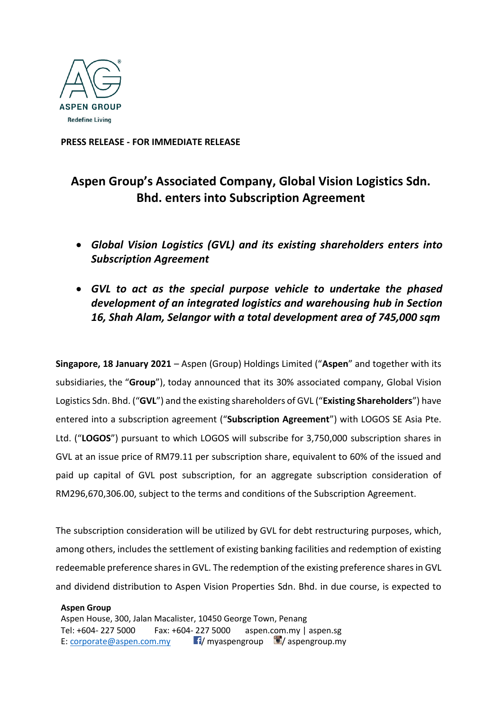

**PRESS RELEASE - FOR IMMEDIATE RELEASE**

# **Aspen Group's Associated Company, Global Vision Logistics Sdn. Bhd. enters into Subscription Agreement**

- *Global Vision Logistics (GVL) and its existing shareholders enters into Subscription Agreement*
- *GVL to act as the special purpose vehicle to undertake the phased development of an integrated logistics and warehousing hub in Section 16, Shah Alam, Selangor with a total development area of 745,000 sqm*

**Singapore, 18 January 2021** – Aspen (Group) Holdings Limited ("**Aspen**" and together with its subsidiaries, the "**Group**"), today announced that its 30% associated company, Global Vision Logistics Sdn. Bhd. ("**GVL**") and the existing shareholders of GVL ("**Existing Shareholders**") have entered into a subscription agreement ("**Subscription Agreement**") with LOGOS SE Asia Pte. Ltd. ("**LOGOS**") pursuant to which LOGOS will subscribe for 3,750,000 subscription shares in GVL at an issue price of RM79.11 per subscription share, equivalent to 60% of the issued and paid up capital of GVL post subscription, for an aggregate subscription consideration of RM296,670,306.00, subject to the terms and conditions of the Subscription Agreement.

The subscription consideration will be utilized by GVL for debt restructuring purposes, which, among others, includes the settlement of existing banking facilities and redemption of existing redeemable preference shares in GVL. The redemption of the existing preference shares in GVL and dividend distribution to Aspen Vision Properties Sdn. Bhd. in due course, is expected to

**Aspen Group** Aspen House, 300, Jalan Macalister, 10450 George Town, Penang Tel: +604- 227 5000 Fax: +604- 227 5000 aspen.com.my | aspen.sg E: [corporate@aspen.com.my](mailto:corporate@aspen.com.my) **Fi**/ myaspengroup  $\blacksquare$  / aspengroup.my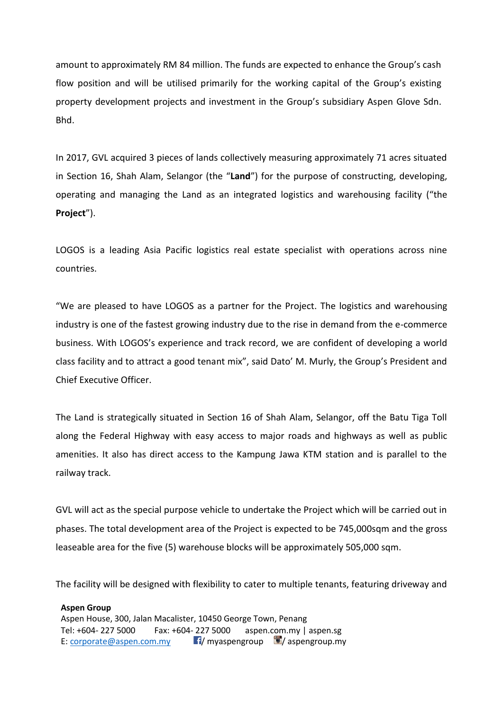amount to approximately RM 84 million. The funds are expected to enhance the Group's cash flow position and will be utilised primarily for the working capital of the Group's existing property development projects and investment in the Group's subsidiary Aspen Glove Sdn. Bhd.

In 2017, GVL acquired 3 pieces of lands collectively measuring approximately 71 acres situated in Section 16, Shah Alam, Selangor (the "**Land**") for the purpose of constructing, developing, operating and managing the Land as an integrated logistics and warehousing facility ("the **Project**").

LOGOS is a leading Asia Pacific logistics real estate specialist with operations across nine countries.

"We are pleased to have LOGOS as a partner for the Project. The logistics and warehousing industry is one of the fastest growing industry due to the rise in demand from the e-commerce business. With LOGOS's experience and track record, we are confident of developing a world class facility and to attract a good tenant mix", said Dato' M. Murly, the Group's President and Chief Executive Officer.

The Land is strategically situated in Section 16 of Shah Alam, Selangor, off the Batu Tiga Toll along the Federal Highway with easy access to major roads and highways as well as public amenities. It also has direct access to the Kampung Jawa KTM station and is parallel to the railway track.

GVL will act as the special purpose vehicle to undertake the Project which will be carried out in phases. The total development area of the Project is expected to be 745,000sqm and the gross leaseable area for the five (5) warehouse blocks will be approximately 505,000 sqm.

The facility will be designed with flexibility to cater to multiple tenants, featuring driveway and

**Aspen Group** Aspen House, 300, Jalan Macalister, 10450 George Town, Penang Tel: +604- 227 5000 Fax: +604- 227 5000 aspen.com.my | aspen.sg E: [corporate@aspen.com.my](mailto:corporate@aspen.com.my)  $\blacksquare$  myaspengroup  $\blacksquare$  aspengroup.my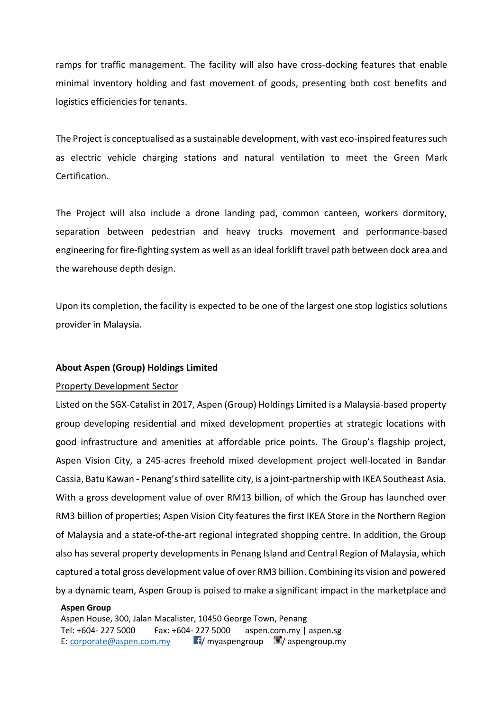ramps for traffic management. The facility will also have cross-docking features that enable minimal inventory holding and fast movement of goods, presenting both cost benefits and logistics efficiencies for tenants.

The Project is conceptualised as a sustainable development, with vast eco-inspired features such as electric vehicle charging stations and natural ventilation to meet the Green Mark Certification.

The Project will also include a drone landing pad, common canteen, workers dormitory, separation between pedestrian and heavy trucks movement and performance-based engineering for fire-fighting system as well as an ideal forklift travel path between dock area and the warehouse depth design.

Upon its completion, the facility is expected to be one of the largest one stop logistics solutions provider in Malaysia.

# **About Aspen (Group) Holdings Limited**

# Property Development Sector

Listed on the SGX-Catalist in 2017, Aspen (Group) Holdings Limited is a Malaysia-based property group developing residential and mixed development properties at strategic locations with good infrastructure and amenities at affordable price points. The Group's flagship project, Aspen Vision City, a 245-acres freehold mixed development project well-located in Bandar Cassia, Batu Kawan - Penang's third satellite city, is a joint-partnership with IKEA Southeast Asia. With a gross development value of over RM13 billion, of which the Group has launched over RM3 billion of properties; Aspen Vision City features the first IKEA Store in the Northern Region of Malaysia and a state-of-the-art regional integrated shopping centre. In addition, the Group also has several property developments in Penang Island and Central Region of Malaysia, which captured a total gross development value of over RM3 billion. Combining its vision and powered by a dynamic team, Aspen Group is poised to make a significant impact in the marketplace and

# **Aspen Group**

Aspen House, 300, Jalan Macalister, 10450 George Town, Penang Tel: +604- 227 5000 Fax: +604- 227 5000 aspen.com.my | aspen.sg E: [corporate@aspen.com.my](mailto:corporate@aspen.com.my)  $\blacksquare$  myaspengroup  $\blacksquare$  aspengroup.my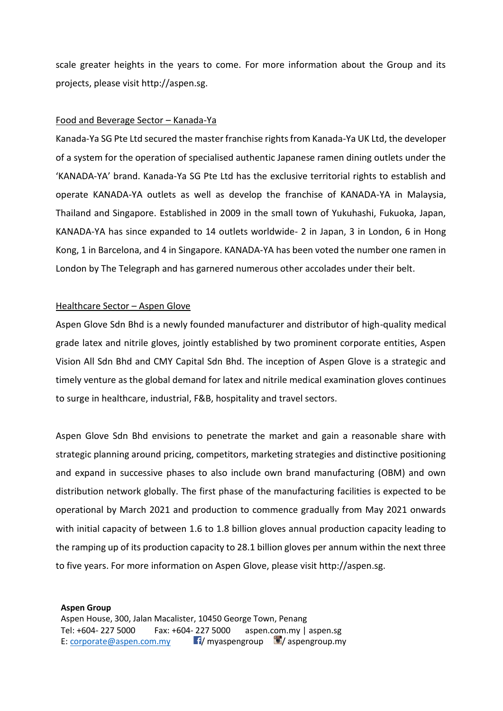scale greater heights in the years to come. For more information about the Group and its projects, please visit http://aspen.sg.

### Food and Beverage Sector – Kanada-Ya

Kanada-Ya SG Pte Ltd secured the master franchise rights from Kanada-Ya UK Ltd, the developer of a system for the operation of specialised authentic Japanese ramen dining outlets under the 'KANADA-YA' brand. Kanada-Ya SG Pte Ltd has the exclusive territorial rights to establish and operate KANADA-YA outlets as well as develop the franchise of KANADA-YA in Malaysia, Thailand and Singapore. Established in 2009 in the small town of Yukuhashi, Fukuoka, Japan, KANADA-YA has since expanded to 14 outlets worldwide- 2 in Japan, 3 in London, 6 in Hong Kong, 1 in Barcelona, and 4 in Singapore. KANADA-YA has been voted the number one ramen in London by The Telegraph and has garnered numerous other accolades under their belt.

### Healthcare Sector - Aspen Glove

Aspen Glove Sdn Bhd is a newly founded manufacturer and distributor of high-quality medical grade latex and nitrile gloves, jointly established by two prominent corporate entities, Aspen Vision All Sdn Bhd and CMY Capital Sdn Bhd. The inception of Aspen Glove is a strategic and timely venture as the global demand for latex and nitrile medical examination gloves continues to surge in healthcare, industrial, F&B, hospitality and travel sectors.

Aspen Glove Sdn Bhd envisions to penetrate the market and gain a reasonable share with strategic planning around pricing, competitors, marketing strategies and distinctive positioning and expand in successive phases to also include own brand manufacturing (OBM) and own distribution network globally. The first phase of the manufacturing facilities is expected to be operational by March 2021 and production to commence gradually from May 2021 onwards with initial capacity of between 1.6 to 1.8 billion gloves annual production capacity leading to the ramping up of its production capacity to 28.1 billion gloves per annum within the next three to five years. For more information on Aspen Glove, please visit http://aspen.sg.